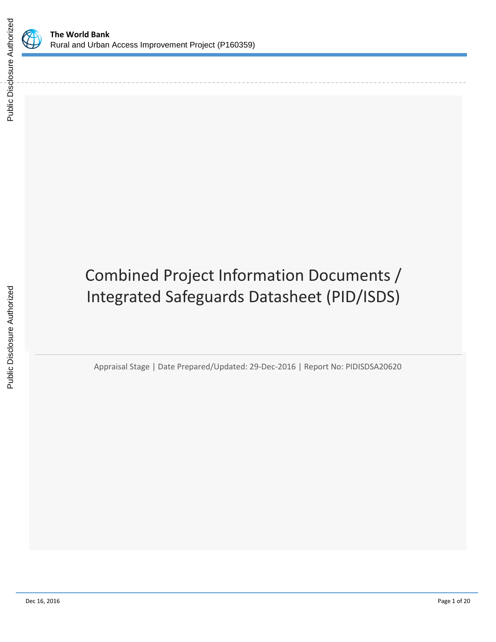

# Combined Project Information Documents / Integrated Safeguards Datasheet (PID/ISDS)

Appraisal Stage | Date Prepared/Updated: 29-Dec-2016 | Report No: PIDISDSA20620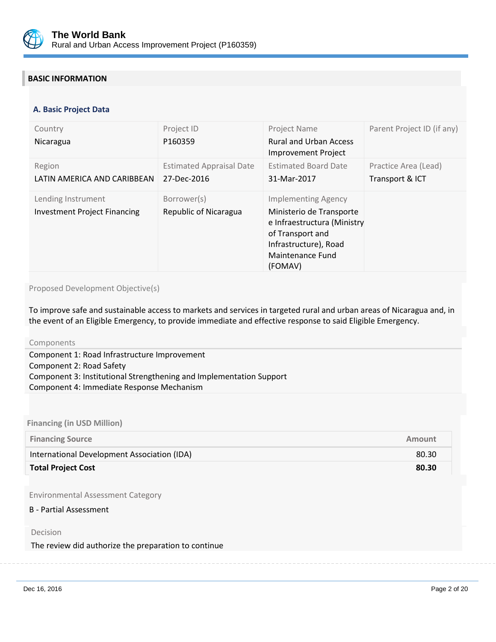

# **BASIC INFORMATION**

#### **OPS\_TABLE\_BASIC\_DATA A. Basic Project Data**

| Country<br>Nicaragua                                      | Project ID<br>P160359                          | <b>Project Name</b><br><b>Rural and Urban Access</b><br>Improvement Project                                                                                       | Parent Project ID (if any)              |
|-----------------------------------------------------------|------------------------------------------------|-------------------------------------------------------------------------------------------------------------------------------------------------------------------|-----------------------------------------|
| Region<br>LATIN AMERICA AND CARIBBEAN                     | <b>Estimated Appraisal Date</b><br>27-Dec-2016 | <b>Estimated Board Date</b><br>31-Mar-2017                                                                                                                        | Practice Area (Lead)<br>Transport & ICT |
| Lending Instrument<br><b>Investment Project Financing</b> | Borrower(s)<br><b>Republic of Nicaragua</b>    | <b>Implementing Agency</b><br>Ministerio de Transporte<br>e Infraestructura (Ministry<br>of Transport and<br>Infrastructure), Road<br>Maintenance Fund<br>(FOMAV) |                                         |

### Proposed Development Objective(s)

To improve safe and sustainable access to markets and services in targeted rural and urban areas of Nicaragua and, in the event of an Eligible Emergency, to provide immediate and effective response to said Eligible Emergency.

Components

Component 1: Road Infrastructure Improvement Component 2: Road Safety Component 3: Institutional Strengthening and Implementation Support Component 4: Immediate Response Mechanism

## **Financing (in USD Million)**

| <b>Financing Source</b>                     | Amount |
|---------------------------------------------|--------|
| International Development Association (IDA) | 80.30  |
| <b>Total Project Cost</b>                   | 80.30  |

Environmental Assessment Category

## B - Partial Assessment

Decision

The review did authorize the preparation to continue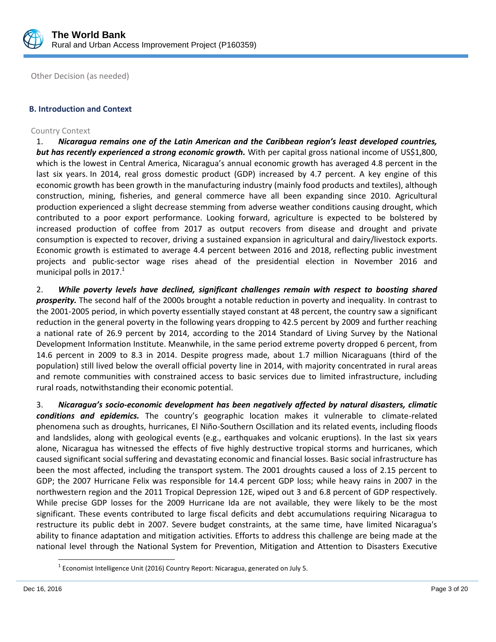

Other Decision (as needed)

# **B. Introduction and Context**

## Country Context

1. *Nicaragua remains one of the Latin American and the Caribbean region's least developed countries, but has recently experienced a strong economic growth.* With per capital gross national income of US\$1,800, which is the lowest in Central America, Nicaragua's annual economic growth has averaged 4.8 percent in the last six years. In 2014, real gross domestic product (GDP) increased by 4.7 percent. A key engine of this economic growth has been growth in the manufacturing industry (mainly food products and textiles), although construction, mining, fisheries, and general commerce have all been expanding since 2010. Agricultural production experienced a slight decrease stemming from adverse weather conditions causing drought, which contributed to a poor export performance. Looking forward, agriculture is expected to be bolstered by increased production of coffee from 2017 as output recovers from disease and drought and private consumption is expected to recover, driving a sustained expansion in agricultural and dairy/livestock exports. Economic growth is estimated to average 4.4 percent between 2016 and 2018, reflecting public investment projects and public-sector wage rises ahead of the presidential election in November 2016 and municipal polls in  $2017.<sup>1</sup>$ 

2. *While poverty levels have declined, significant challenges remain with respect to boosting shared prosperity.* The second half of the 2000s brought a notable reduction in poverty and inequality. In contrast to the 2001-2005 period, in which poverty essentially stayed constant at 48 percent, the country saw a significant reduction in the general poverty in the following years dropping to 42.5 percent by 2009 and further reaching a national rate of 26.9 percent by 2014, according to the 2014 Standard of Living Survey by the National Development Information Institute. Meanwhile, in the same period extreme poverty dropped 6 percent, from 14.6 percent in 2009 to 8.3 in 2014. Despite progress made, about 1.7 million Nicaraguans (third of the population) still lived below the overall official poverty line in 2014, with majority concentrated in rural areas and remote communities with constrained access to basic services due to limited infrastructure, including rural roads, notwithstanding their economic potential.

3. *Nicaragua's socio-economic development has been negatively affected by natural disasters, climatic conditions and epidemics.* The country's geographic location makes it vulnerable to climate-related phenomena such as droughts, hurricanes, El Niño-Southern Oscillation and its related events, including floods and landslides, along with geological events (e.g., earthquakes and volcanic eruptions). In the last six years alone, Nicaragua has witnessed the effects of five highly destructive tropical storms and hurricanes, which caused significant social suffering and devastating economic and financial losses. Basic social infrastructure has been the most affected, including the transport system. The 2001 droughts caused a loss of 2.15 percent to GDP; the 2007 Hurricane Felix was responsible for 14.4 percent GDP loss; while heavy rains in 2007 in the northwestern region and the 2011 Tropical Depression 12E, wiped out 3 and 6.8 percent of GDP respectively. While precise GDP losses for the 2009 Hurricane Ida are not available, they were likely to be the most significant. These events contributed to large fiscal deficits and debt accumulations requiring Nicaragua to restructure its public debt in 2007. Severe budget constraints, at the same time, have limited Nicaragua's ability to finance adaptation and mitigation activities. Efforts to address this challenge are being made at the national level through the National System for Prevention, Mitigation and Attention to Disasters Executive

l

 $^1$  Economist Intelligence Unit (2016) Country Report: Nicaragua, generated on July 5.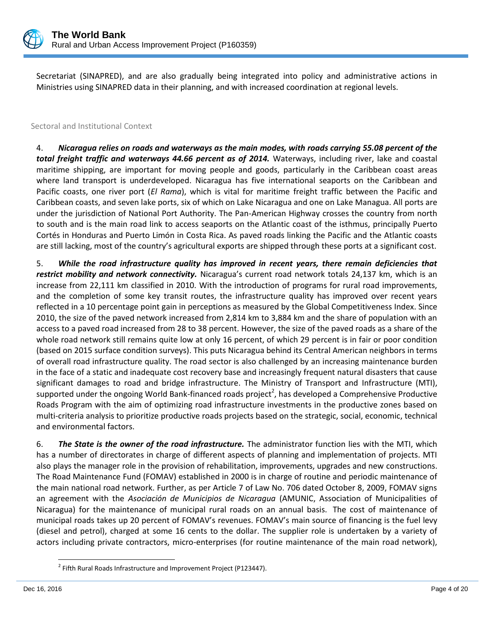

Secretariat (SINAPRED), and are also gradually being integrated into policy and administrative actions in Ministries using SINAPRED data in their planning, and with increased coordination at regional levels.

# Sectoral and Institutional Context

4. *Nicaragua relies on roads and waterways as the main modes, with roads carrying 55.08 percent of the total freight traffic and waterways 44.66 percent as of 2014.* Waterways, including river, lake and coastal maritime shipping, are important for moving people and goods, particularly in the Caribbean coast areas where land transport is underdeveloped. Nicaragua has five international seaports on the Caribbean and Pacific coasts, one river port (*El Rama*), which is vital for maritime freight traffic between the Pacific and Caribbean coasts, and seven lake ports, six of which on Lake Nicaragua and one on Lake Managua. All ports are under the jurisdiction of National Port Authority. The Pan-American Highway crosses the country from north to south and is the main road link to access seaports on the Atlantic coast of the isthmus, principally Puerto Cortés in Honduras and Puerto Limón in Costa Rica. As paved roads linking the Pacific and the Atlantic coasts are still lacking, most of the country's agricultural exports are shipped through these ports at a significant cost.

5. *While the road infrastructure quality has improved in recent years, there remain deficiencies that restrict mobility and network connectivity.* Nicaragua's current road network totals 24,137 km, which is an increase from 22,111 km classified in 2010. With the introduction of programs for rural road improvements, and the completion of some key transit routes, the infrastructure quality has improved over recent years reflected in a 10 percentage point gain in perceptions as measured by the Global Competitiveness Index. Since 2010, the size of the paved network increased from 2,814 km to 3,884 km and the share of population with an access to a paved road increased from 28 to 38 percent. However, the size of the paved roads as a share of the whole road network still remains quite low at only 16 percent, of which 29 percent is in fair or poor condition (based on 2015 surface condition surveys). This puts Nicaragua behind its Central American neighbors in terms of overall road infrastructure quality. The road sector is also challenged by an increasing maintenance burden in the face of a static and inadequate cost recovery base and increasingly frequent natural disasters that cause significant damages to road and bridge infrastructure. The Ministry of Transport and Infrastructure (MTI), supported under the ongoing World Bank-financed roads project<sup>2</sup>, has developed a Comprehensive Productive Roads Program with the aim of optimizing road infrastructure investments in the productive zones based on multi-criteria analysis to prioritize productive roads projects based on the strategic, social, economic, technical and environmental factors.

6. *The State is the owner of the road infrastructure.* The administrator function lies with the MTI, which has a number of directorates in charge of different aspects of planning and implementation of projects. MTI also plays the manager role in the provision of rehabilitation, improvements, upgrades and new constructions. The Road Maintenance Fund (FOMAV) established in 2000 is in charge of routine and periodic maintenance of the main national road network. Further, as per Article 7 of Law No. 706 dated October 8, 2009, FOMAV signs an agreement with the *Asociación de Municipios de Nicaragua* (AMUNIC, Association of Municipalities of Nicaragua) for the maintenance of municipal rural roads on an annual basis. The cost of maintenance of municipal roads takes up 20 percent of FOMAV's revenues. FOMAV's main source of financing is the fuel levy (diesel and petrol), charged at some 16 cents to the dollar. The supplier role is undertaken by a variety of actors including private contractors, micro-enterprises (for routine maintenance of the main road network),

l

 $^{2}$  Fifth Rural Roads Infrastructure and Improvement Project (P123447).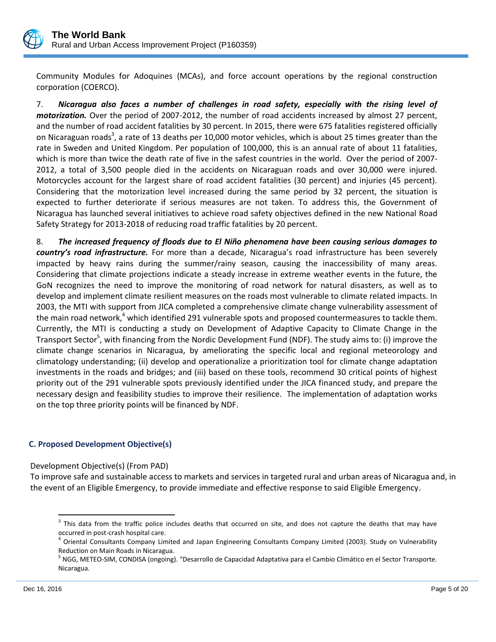

Community Modules for Adoquines (MCAs), and force account operations by the regional construction corporation (COERCO).

7. *Nicaragua also faces a number of challenges in road safety, especially with the rising level of motorization.* Over the period of 2007-2012, the number of road accidents increased by almost 27 percent, and the number of road accident fatalities by 30 percent. In 2015, there were 675 fatalities registered officially on Nicaraguan roads<sup>3</sup>, a rate of 13 deaths per 10,000 motor vehicles, which is about 25 times greater than the rate in Sweden and United Kingdom. Per population of 100,000, this is an annual rate of about 11 fatalities, which is more than twice the death rate of five in the safest countries in the world. Over the period of 2007- 2012, a total of 3,500 people died in the accidents on Nicaraguan roads and over 30,000 were injured. Motorcycles account for the largest share of road accident fatalities (30 percent) and injuries (45 percent). Considering that the motorization level increased during the same period by 32 percent, the situation is expected to further deteriorate if serious measures are not taken. To address this, the Government of Nicaragua has launched several initiatives to achieve road safety objectives defined in the new National Road Safety Strategy for 2013-2018 of reducing road traffic fatalities by 20 percent.

8. *The increased frequency of floods due to El Niño phenomena have been causing serious damages to country's road infrastructure.* For more than a decade, Nicaragua's road infrastructure has been severely impacted by heavy rains during the summer/rainy season, causing the inaccessibility of many areas. Considering that climate projections indicate a steady increase in extreme weather events in the future, the GoN recognizes the need to improve the monitoring of road network for natural disasters, as well as to develop and implement climate resilient measures on the roads most vulnerable to climate related impacts. In 2003, the MTI with support from JICA completed a comprehensive climate change vulnerability assessment of the main road network, $4$  which identified 291 vulnerable spots and proposed countermeasures to tackle them. Currently, the MTI is conducting a study on Development of Adaptive Capacity to Climate Change in the Transport Sector<sup>5</sup>, with financing from the Nordic Development Fund (NDF). The study aims to: (i) improve the climate change scenarios in Nicaragua, by ameliorating the specific local and regional meteorology and climatology understanding; (ii) develop and operationalize a prioritization tool for climate change adaptation investments in the roads and bridges; and (iii) based on these tools, recommend 30 critical points of highest priority out of the 291 vulnerable spots previously identified under the JICA financed study, and prepare the necessary design and feasibility studies to improve their resilience. The implementation of adaptation works on the top three priority points will be financed by NDF.

# **C. Proposed Development Objective(s)**

Development Objective(s) (From PAD)

To improve safe and sustainable access to markets and services in targeted rural and urban areas of Nicaragua and, in the event of an Eligible Emergency, to provide immediate and effective response to said Eligible Emergency.

 $\overline{\phantom{a}}$ 

 $3$  This data from the traffic police includes deaths that occurred on site, and does not capture the deaths that may have occurred in post-crash hospital care.

<sup>&</sup>lt;sup>4</sup> Oriental Consultants Company Limited and Japan Engineering Consultants Company Limited (2003). Study on Vulnerability Reduction on Main Roads in Nicaragua.

<sup>&</sup>lt;sup>5</sup> NGG, METEO-SIM, CONDISA (ongoing). "Desarrollo de Capacidad Adaptativa para el Cambio Climático en el Sector Transporte. Nicaragua.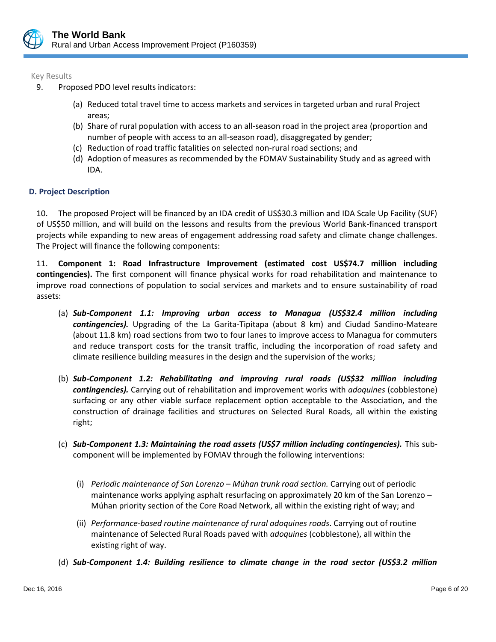

Key Results

- 9. Proposed PDO level results indicators:
	- (a) Reduced total travel time to access markets and services in targeted urban and rural Project areas;
	- (b) Share of rural population with access to an all-season road in the project area (proportion and number of people with access to an all-season road), disaggregated by gender;
	- (c) Reduction of road traffic fatalities on selected non-rural road sections; and
	- (d) Adoption of measures as recommended by the FOMAV Sustainability Study and as agreed with IDA.

# **D. Project Description**

10. The proposed Project will be financed by an IDA credit of US\$30.3 million and IDA Scale Up Facility (SUF) of US\$50 million, and will build on the lessons and results from the previous World Bank-financed transport projects while expanding to new areas of engagement addressing road safety and climate change challenges. The Project will finance the following components:

11. **Component 1: Road Infrastructure Improvement (estimated cost US\$74.7 million including contingencies).** The first component will finance physical works for road rehabilitation and maintenance to improve road connections of population to social services and markets and to ensure sustainability of road assets:

- (a) *Sub-Component 1.1: Improving urban access to Managua (US\$32.4 million including contingencies).* Upgrading of the La Garita-Tipitapa (about 8 km) and Ciudad Sandino-Mateare (about 11.8 km) road sections from two to four lanes to improve access to Managua for commuters and reduce transport costs for the transit traffic, including the incorporation of road safety and climate resilience building measures in the design and the supervision of the works;
- (b) *Sub-Component 1.2: Rehabilitating and improving rural roads (US\$32 million including contingencies).* Carrying out of rehabilitation and improvement works with *adoquines* (cobblestone) surfacing or any other viable surface replacement option acceptable to the Association, and the construction of drainage facilities and structures on Selected Rural Roads, all within the existing right;
- (c) *Sub-Component 1.3: Maintaining the road assets (US\$7 million including contingencies).* This subcomponent will be implemented by FOMAV through the following interventions:
	- (i) *Periodic maintenance of San Lorenzo – Múhan trunk road section.* Carrying out of periodic maintenance works applying asphalt resurfacing on approximately 20 km of the San Lorenzo – Múhan priority section of the Core Road Network, all within the existing right of way; and
	- (ii) *Performance-based routine maintenance of rural adoquines roads*. Carrying out of routine maintenance of Selected Rural Roads paved with *adoquines* (cobblestone), all within the existing right of way.
- (d) *Sub-Component 1.4: Building resilience to climate change in the road sector (US\$3.2 million*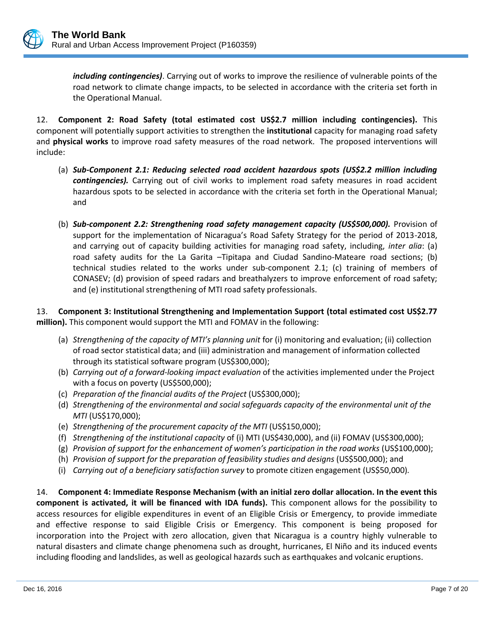

*including contingencies)*. Carrying out of works to improve the resilience of vulnerable points of the road network to climate change impacts, to be selected in accordance with the criteria set forth in the Operational Manual.

12. **Component 2: Road Safety (total estimated cost US\$2.7 million including contingencies).** This component will potentially support activities to strengthen the **institutional** capacity for managing road safety and **physical works** to improve road safety measures of the road network. The proposed interventions will include:

- (a) *Sub-Component 2.1: Reducing selected road accident hazardous spots (US\$2.2 million including contingencies).* Carrying out of civil works to implement road safety measures in road accident hazardous spots to be selected in accordance with the criteria set forth in the Operational Manual; and
- (b) *Sub-component 2.2: Strengthening road safety management capacity (US\$500,000).* Provision of support for the implementation of Nicaragua's Road Safety Strategy for the period of 2013-2018, and carrying out of capacity building activities for managing road safety, including, *inter alia*: (a) road safety audits for the La Garita –Tipitapa and Ciudad Sandino-Mateare road sections; (b) technical studies related to the works under sub-component 2.1; (c) training of members of CONASEV; (d) provision of speed radars and breathalyzers to improve enforcement of road safety; and (e) institutional strengthening of MTI road safety professionals.

13. **Component 3: Institutional Strengthening and Implementation Support (total estimated cost US\$2.77 million).** This component would support the MTI and FOMAV in the following:

- (a) *Strengthening of the capacity of MTI's planning unit* for (i) monitoring and evaluation; (ii) collection of road sector statistical data; and (iii) administration and management of information collected through its statistical software program (US\$300,000);
- (b) *Carrying out of a forward-looking impact evaluation* of the activities implemented under the Project with a focus on poverty (US\$500,000);
- (c) *Preparation of the financial audits of the Project* (US\$300,000);
- (d) *Strengthening of the environmental and social safeguards capacity of the environmental unit of the MTI* (US\$170,000);
- (e) *Strengthening of the procurement capacity of the MTI* (US\$150,000);
- (f) *Strengthening of the institutional capacity* of (i) MTI (US\$430,000), and (ii) FOMAV (US\$300,000);
- (g) *Provision of support for the enhancement of women's participation in the road works* (US\$100,000);
- (h) *Provision of support for the preparation of feasibility studies and designs* (US\$500,000); and
- (i) *Carrying out of a beneficiary satisfaction survey* to promote citizen engagement (US\$50,000)*.*

14. **Component 4: Immediate Response Mechanism (with an initial zero dollar allocation. In the event this component is activated, it will be financed with IDA funds).** This component allows for the possibility to access resources for eligible expenditures in event of an Eligible Crisis or Emergency, to provide immediate and effective response to said Eligible Crisis or Emergency. This component is being proposed for incorporation into the Project with zero allocation, given that Nicaragua is a country highly vulnerable to natural disasters and climate change phenomena such as drought, hurricanes, El Niño and its induced events including flooding and landslides, as well as geological hazards such as earthquakes and volcanic eruptions.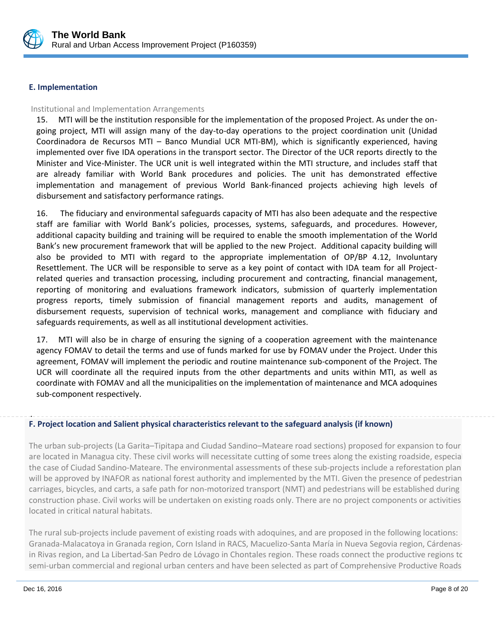

## **E. Implementation**

## Institutional and Implementation Arrangements

15. MTI will be the institution responsible for the implementation of the proposed Project. As under the ongoing project, MTI will assign many of the day-to-day operations to the project coordination unit (Unidad Coordinadora de Recursos MTI – Banco Mundial UCR MTI-BM), which is significantly experienced, having implemented over five IDA operations in the transport sector. The Director of the UCR reports directly to the Minister and Vice-Minister. The UCR unit is well integrated within the MTI structure, and includes staff that are already familiar with World Bank procedures and policies. The unit has demonstrated effective implementation and management of previous World Bank-financed projects achieving high levels of disbursement and satisfactory performance ratings.

16. The fiduciary and environmental safeguards capacity of MTI has also been adequate and the respective staff are familiar with World Bank's policies, processes, systems, safeguards, and procedures. However, additional capacity building and training will be required to enable the smooth implementation of the World Bank's new procurement framework that will be applied to the new Project. Additional capacity building will also be provided to MTI with regard to the appropriate implementation of OP/BP 4.12, Involuntary Resettlement. The UCR will be responsible to serve as a key point of contact with IDA team for all Projectrelated queries and transaction processing, including procurement and contracting, financial management, reporting of monitoring and evaluations framework indicators, submission of quarterly implementation progress reports, timely submission of financial management reports and audits, management of disbursement requests, supervision of technical works, management and compliance with fiduciary and safeguards requirements, as well as all institutional development activities.

17. MTI will also be in charge of ensuring the signing of a cooperation agreement with the maintenance agency FOMAV to detail the terms and use of funds marked for use by FOMAV under the Project. Under this agreement, FOMAV will implement the periodic and routine maintenance sub-component of the Project. The UCR will coordinate all the required inputs from the other departments and units within MTI, as well as coordinate with FOMAV and all the municipalities on the implementation of maintenance and MCA adoquines sub-component respectively.

#### . **F. Project location and Salient physical characteristics relevant to the safeguard analysis (if known)**

The urban sub-projects (La Garita–Tipitapa and Ciudad Sandino–Mateare road sections) proposed for expansion to four are located in Managua city. These civil works will necessitate cutting of some trees along the existing roadside, especial the case of Ciudad Sandino-Mateare. The environmental assessments of these sub-projects include a reforestation plan will be approved by INAFOR as national forest authority and implemented by the MTI. Given the presence of pedestrian carriages, bicycles, and carts, a safe path for non-motorized transport (NMT) and pedestrians will be established during construction phase. Civil works will be undertaken on existing roads only. There are no project components or activities located in critical natural habitats.

The rural sub-projects include pavement of existing roads with adoquines, and are proposed in the following locations: Granada-Malacatoya in Granada region, Corn Island in RACS, Macuelizo-Santa María in Nueva Segovia region, Cárdenasin Rivas region, and La Libertad-San Pedro de Lóvago in Chontales region. These roads connect the productive regions to semi-urban commercial and regional urban centers and have been selected as part of Comprehensive Productive Roads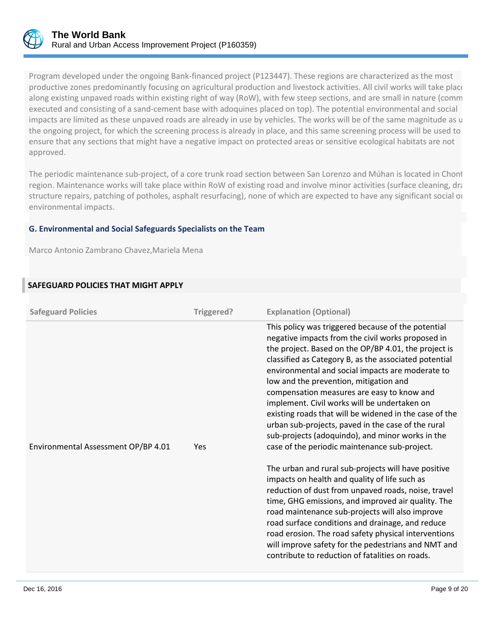

Program developed under the ongoing Bank-financed project (P123447). These regions are characterized as the most productive zones predominantly focusing on agricultural production and livestock activities. All civil works will take place along existing unpaved roads within existing right of way (RoW), with few steep sections, and are small in nature (comm executed and consisting of a sand-cement base with adoquines placed on top). The potential environmental and social impacts are limited as these unpaved roads are already in use by vehicles. The works will be of the same magnitude as u the ongoing project, for which the screening process is already in place, and this same screening process will be used to ensure that any sections that might have a negative impact on protected areas or sensitive ecological habitats are not approved.

The periodic maintenance sub-project, of a core trunk road section between San Lorenzo and Múhan is located in Chont region. Maintenance works will take place within RoW of existing road and involve minor activities (surface cleaning, drainage structure repairs, patching of potholes, asphalt resurfacing), none of which are expected to have any significant social or environmental impacts.

## **G. Environmental and Social Safeguards Specialists on the Team**

Marco Antonio Zambrano Chavez,Mariela Mena

# **SAFEGUARD POLICIES THAT MIGHT APPLY**

| <b>Safeguard Policies</b>           | Triggered? | <b>Explanation (Optional)</b>                                                                                                                                                                                                                                                                                                                                                                                                                                                                                                                                                                                                             |
|-------------------------------------|------------|-------------------------------------------------------------------------------------------------------------------------------------------------------------------------------------------------------------------------------------------------------------------------------------------------------------------------------------------------------------------------------------------------------------------------------------------------------------------------------------------------------------------------------------------------------------------------------------------------------------------------------------------|
| Environmental Assessment OP/BP 4.01 | Yes        | This policy was triggered because of the potential<br>negative impacts from the civil works proposed in<br>the project. Based on the OP/BP 4.01, the project is<br>classified as Category B, as the associated potential<br>environmental and social impacts are moderate to<br>low and the prevention, mitigation and<br>compensation measures are easy to know and<br>implement. Civil works will be undertaken on<br>existing roads that will be widened in the case of the<br>urban sub-projects, paved in the case of the rural<br>sub-projects (adoquindo), and minor works in the<br>case of the periodic maintenance sub-project. |
|                                     |            | The urban and rural sub-projects will have positive<br>impacts on health and quality of life such as<br>reduction of dust from unpaved roads, noise, travel<br>time, GHG emissions, and improved air quality. The<br>road maintenance sub-projects will also improve<br>road surface conditions and drainage, and reduce<br>road erosion. The road safety physical interventions<br>will improve safety for the pedestrians and NMT and<br>contribute to reduction of fatalities on roads.                                                                                                                                                |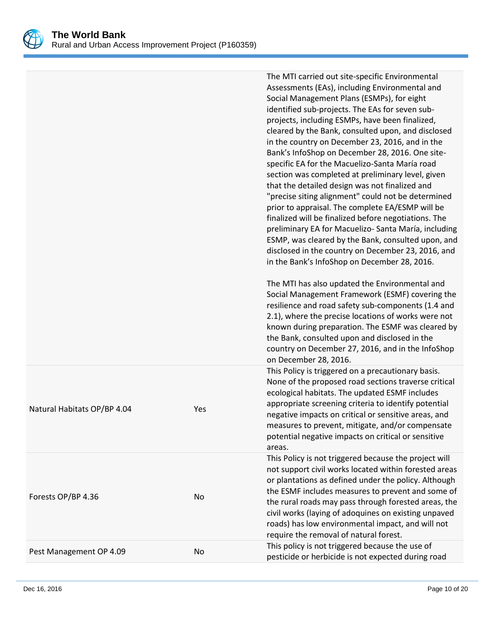

|                             |     | The MTI carried out site-specific Environmental<br>Assessments (EAs), including Environmental and<br>Social Management Plans (ESMPs), for eight<br>identified sub-projects. The EAs for seven sub-<br>projects, including ESMPs, have been finalized,<br>cleared by the Bank, consulted upon, and disclosed<br>in the country on December 23, 2016, and in the<br>Bank's InfoShop on December 28, 2016. One site-<br>specific EA for the Macuelizo-Santa María road<br>section was completed at preliminary level, given<br>that the detailed design was not finalized and<br>"precise siting alignment" could not be determined<br>prior to appraisal. The complete EA/ESMP will be<br>finalized will be finalized before negotiations. The<br>preliminary EA for Macuelizo- Santa María, including<br>ESMP, was cleared by the Bank, consulted upon, and<br>disclosed in the country on December 23, 2016, and<br>in the Bank's InfoShop on December 28, 2016.<br>The MTI has also updated the Environmental and<br>Social Management Framework (ESMF) covering the<br>resilience and road safety sub-components (1.4 and<br>2.1), where the precise locations of works were not<br>known during preparation. The ESMF was cleared by<br>the Bank, consulted upon and disclosed in the<br>country on December 27, 2016, and in the InfoShop<br>on December 28, 2016. |
|-----------------------------|-----|------------------------------------------------------------------------------------------------------------------------------------------------------------------------------------------------------------------------------------------------------------------------------------------------------------------------------------------------------------------------------------------------------------------------------------------------------------------------------------------------------------------------------------------------------------------------------------------------------------------------------------------------------------------------------------------------------------------------------------------------------------------------------------------------------------------------------------------------------------------------------------------------------------------------------------------------------------------------------------------------------------------------------------------------------------------------------------------------------------------------------------------------------------------------------------------------------------------------------------------------------------------------------------------------------------------------------------------------------------------------|
| Natural Habitats OP/BP 4.04 | Yes | This Policy is triggered on a precautionary basis.<br>None of the proposed road sections traverse critical<br>ecological habitats. The updated ESMF includes<br>appropriate screening criteria to identify potential<br>negative impacts on critical or sensitive areas, and<br>measures to prevent, mitigate, and/or compensate<br>potential negative impacts on critical or sensitive<br>areas.                                                                                                                                                                                                                                                                                                                                                                                                                                                                                                                                                                                                                                                                                                                                                                                                                                                                                                                                                                      |
| Forests OP/BP 4.36          | No  | This Policy is not triggered because the project will<br>not support civil works located within forested areas<br>or plantations as defined under the policy. Although<br>the ESMF includes measures to prevent and some of<br>the rural roads may pass through forested areas, the<br>civil works (laying of adoquines on existing unpaved<br>roads) has low environmental impact, and will not<br>require the removal of natural forest.                                                                                                                                                                                                                                                                                                                                                                                                                                                                                                                                                                                                                                                                                                                                                                                                                                                                                                                             |
| Pest Management OP 4.09     | No  | This policy is not triggered because the use of<br>pesticide or herbicide is not expected during road                                                                                                                                                                                                                                                                                                                                                                                                                                                                                                                                                                                                                                                                                                                                                                                                                                                                                                                                                                                                                                                                                                                                                                                                                                                                  |
|                             |     |                                                                                                                                                                                                                                                                                                                                                                                                                                                                                                                                                                                                                                                                                                                                                                                                                                                                                                                                                                                                                                                                                                                                                                                                                                                                                                                                                                        |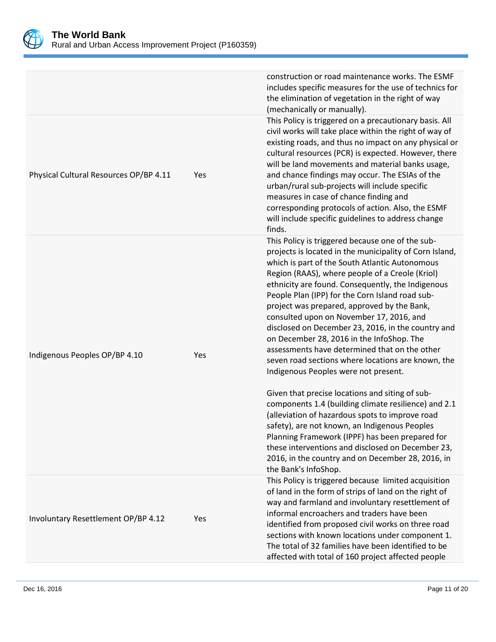

| the elimination of vegetation in the right of way<br>(mechanically or manually).<br>Physical Cultural Resources OP/BP 4.11<br>and chance findings may occur. The ESIAs of the<br>Yes<br>urban/rural sub-projects will include specific<br>measures in case of chance finding and<br>corresponding protocols of action. Also, the ESMF<br>will include specific guidelines to address change<br>finds.<br>This Policy is triggered because one of the sub- |  |                                                                                                                                                                                                                                                                                       |  |
|-----------------------------------------------------------------------------------------------------------------------------------------------------------------------------------------------------------------------------------------------------------------------------------------------------------------------------------------------------------------------------------------------------------------------------------------------------------|--|---------------------------------------------------------------------------------------------------------------------------------------------------------------------------------------------------------------------------------------------------------------------------------------|--|
|                                                                                                                                                                                                                                                                                                                                                                                                                                                           |  | construction or road maintenance works. The ESMF<br>includes specific measures for the use of technics for                                                                                                                                                                            |  |
|                                                                                                                                                                                                                                                                                                                                                                                                                                                           |  | This Policy is triggered on a precautionary basis. All<br>civil works will take place within the right of way of<br>existing roads, and thus no impact on any physical or<br>cultural resources (PCR) is expected. However, there<br>will be land movements and material banks usage, |  |
| Region (RAAS), where people of a Creole (Kriol)<br>ethnicity are found. Consequently, the Indigenous<br>People Plan (IPP) for the Corn Island road sub-<br>project was prepared, approved by the Bank,<br>consulted upon on November 17, 2016, and<br>on December 28, 2016 in the InfoShop. The<br>assessments have determined that on the other<br>Indigenous Peoples OP/BP 4.10<br>Yes<br>Indigenous Peoples were not present.                          |  | projects is located in the municipality of Corn Island,<br>which is part of the South Atlantic Autonomous<br>disclosed on December 23, 2016, in the country and<br>seven road sections where locations are known, the                                                                 |  |
| Given that precise locations and siting of sub-<br>(alleviation of hazardous spots to improve road<br>safety), are not known, an Indigenous Peoples<br>Planning Framework (IPPF) has been prepared for<br>the Bank's InfoShop.                                                                                                                                                                                                                            |  | components 1.4 (building climate resilience) and 2.1<br>these interventions and disclosed on December 23,<br>2016, in the country and on December 28, 2016, in                                                                                                                        |  |
| of land in the form of strips of land on the right of<br>informal encroachers and traders have been<br>Involuntary Resettlement OP/BP 4.12<br>Yes<br>The total of 32 families have been identified to be<br>affected with total of 160 project affected people                                                                                                                                                                                            |  | This Policy is triggered because limited acquisition<br>way and farmland and involuntary resettlement of<br>identified from proposed civil works on three road<br>sections with known locations under component 1.                                                                    |  |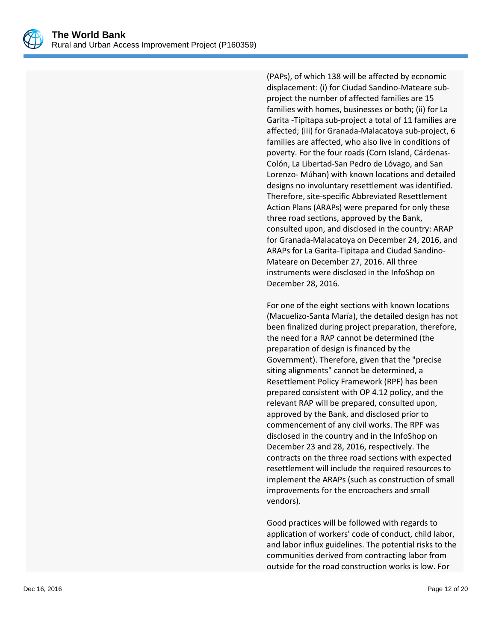

(PAPs), of which 138 will be affected by economic displacement: (i) for Ciudad Sandino-Mateare subproject the number of affected families are 15 families with homes, businesses or both; (ii) for La Garita -Tipitapa sub-project a total of 11 families are affected; (iii) for Granada-Malacatoya sub-project, 6 families are affected, who also live in conditions of poverty. For the four roads (Corn Island, Cárdenas-Colón, La Libertad-San Pedro de Lóvago, and San Lorenzo- Múhan) with known locations and detailed designs no involuntary resettlement was identified. Therefore, site-specific Abbreviated Resettlement Action Plans (ARAPs) were prepared for only these three road sections, approved by the Bank, consulted upon, and disclosed in the country: ARAP for Granada-Malacatoya on December 24, 2016, and ARAPs for La Garita-Tipitapa and Ciudad Sandino-Mateare on December 27, 2016. All three instruments were disclosed in the InfoShop on December 28, 2016.

For one of the eight sections with known locations (Macuelizo-Santa María), the detailed design has not been finalized during project preparation, therefore, the need for a RAP cannot be determined (the preparation of design is financed by the Government). Therefore, given that the "precise siting alignments" cannot be determined, a Resettlement Policy Framework (RPF) has been prepared consistent with OP 4.12 policy, and the relevant RAP will be prepared, consulted upon, approved by the Bank, and disclosed prior to commencement of any civil works. The RPF was disclosed in the country and in the InfoShop on December 23 and 28, 2016, respectively. The contracts on the three road sections with expected resettlement will include the required resources to implement the ARAPs (such as construction of small improvements for the encroachers and small vendors).

Good practices will be followed with regards to application of workers' code of conduct, child labor, and labor influx guidelines. The potential risks to the communities derived from contracting labor from outside for the road construction works is low. For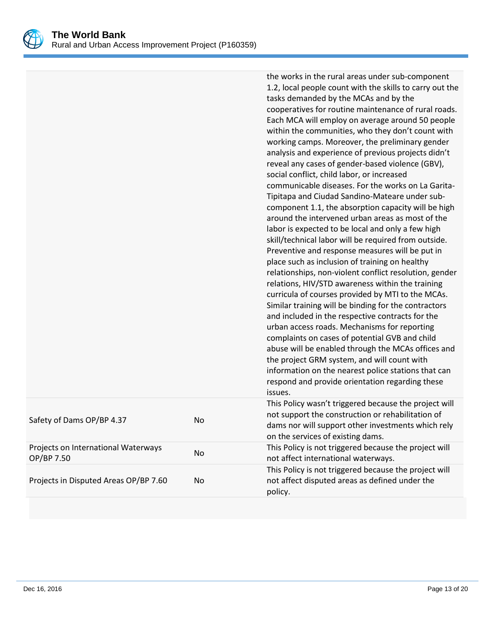

|                                                   |    | the works in the rural areas under sub-component<br>1.2, local people count with the skills to carry out the<br>tasks demanded by the MCAs and by the<br>cooperatives for routine maintenance of rural roads.<br>Each MCA will employ on average around 50 people<br>within the communities, who they don't count with<br>working camps. Moreover, the preliminary gender<br>analysis and experience of previous projects didn't<br>reveal any cases of gender-based violence (GBV),<br>social conflict, child labor, or increased<br>communicable diseases. For the works on La Garita-<br>Tipitapa and Ciudad Sandino-Mateare under sub-<br>component 1.1, the absorption capacity will be high<br>around the intervened urban areas as most of the<br>labor is expected to be local and only a few high<br>skill/technical labor will be required from outside.<br>Preventive and response measures will be put in<br>place such as inclusion of training on healthy<br>relationships, non-violent conflict resolution, gender<br>relations, HIV/STD awareness within the training<br>curricula of courses provided by MTI to the MCAs.<br>Similar training will be binding for the contractors<br>and included in the respective contracts for the<br>urban access roads. Mechanisms for reporting<br>complaints on cases of potential GVB and child<br>abuse will be enabled through the MCAs offices and<br>the project GRM system, and will count with<br>information on the nearest police stations that can<br>respond and provide orientation regarding these<br>issues. |
|---------------------------------------------------|----|------------------------------------------------------------------------------------------------------------------------------------------------------------------------------------------------------------------------------------------------------------------------------------------------------------------------------------------------------------------------------------------------------------------------------------------------------------------------------------------------------------------------------------------------------------------------------------------------------------------------------------------------------------------------------------------------------------------------------------------------------------------------------------------------------------------------------------------------------------------------------------------------------------------------------------------------------------------------------------------------------------------------------------------------------------------------------------------------------------------------------------------------------------------------------------------------------------------------------------------------------------------------------------------------------------------------------------------------------------------------------------------------------------------------------------------------------------------------------------------------------------------------------------------------------------------------------------|
| Safety of Dams OP/BP 4.37                         | No | This Policy wasn't triggered because the project will<br>not support the construction or rehabilitation of<br>dams nor will support other investments which rely<br>on the services of existing dams.                                                                                                                                                                                                                                                                                                                                                                                                                                                                                                                                                                                                                                                                                                                                                                                                                                                                                                                                                                                                                                                                                                                                                                                                                                                                                                                                                                              |
| Projects on International Waterways<br>OP/BP 7.50 | No | This Policy is not triggered because the project will<br>not affect international waterways.                                                                                                                                                                                                                                                                                                                                                                                                                                                                                                                                                                                                                                                                                                                                                                                                                                                                                                                                                                                                                                                                                                                                                                                                                                                                                                                                                                                                                                                                                       |
| Projects in Disputed Areas OP/BP 7.60             | No | This Policy is not triggered because the project will<br>not affect disputed areas as defined under the<br>policy.                                                                                                                                                                                                                                                                                                                                                                                                                                                                                                                                                                                                                                                                                                                                                                                                                                                                                                                                                                                                                                                                                                                                                                                                                                                                                                                                                                                                                                                                 |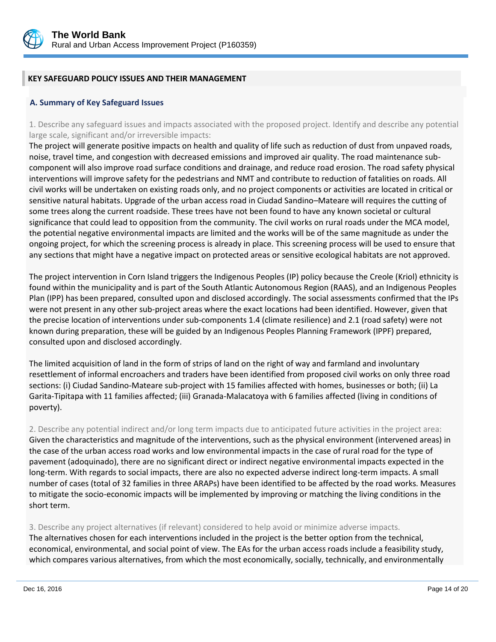

# **KEY SAFEGUARD POLICY ISSUES AND THEIR MANAGEMENT**

## **A. Summary of Key Safeguard Issues**

1. Describe any safeguard issues and impacts associated with the proposed project. Identify and describe any potential large scale, significant and/or irreversible impacts:

The project will generate positive impacts on health and quality of life such as reduction of dust from unpaved roads, noise, travel time, and congestion with decreased emissions and improved air quality. The road maintenance subcomponent will also improve road surface conditions and drainage, and reduce road erosion. The road safety physical interventions will improve safety for the pedestrians and NMT and contribute to reduction of fatalities on roads. All civil works will be undertaken on existing roads only, and no project components or activities are located in critical or sensitive natural habitats. Upgrade of the urban access road in Ciudad Sandino–Mateare will requires the cutting of some trees along the current roadside. These trees have not been found to have any known societal or cultural significance that could lead to opposition from the community. The civil works on rural roads under the MCA model, the potential negative environmental impacts are limited and the works will be of the same magnitude as under the ongoing project, for which the screening process is already in place. This screening process will be used to ensure that any sections that might have a negative impact on protected areas or sensitive ecological habitats are not approved.

The project intervention in Corn Island triggers the Indigenous Peoples (IP) policy because the Creole (Kriol) ethnicity is found within the municipality and is part of the South Atlantic Autonomous Region (RAAS), and an Indigenous Peoples Plan (IPP) has been prepared, consulted upon and disclosed accordingly. The social assessments confirmed that the IPs were not present in any other sub-project areas where the exact locations had been identified. However, given that the precise location of interventions under sub-components 1.4 (climate resilience) and 2.1 (road safety) were not known during preparation, these will be guided by an Indigenous Peoples Planning Framework (IPPF) prepared, consulted upon and disclosed accordingly.

The limited acquisition of land in the form of strips of land on the right of way and farmland and involuntary resettlement of informal encroachers and traders have been identified from proposed civil works on only three road sections: (i) Ciudad Sandino-Mateare sub-project with 15 families affected with homes, businesses or both; (ii) La Garita-Tipitapa with 11 families affected; (iii) Granada-Malacatoya with 6 families affected (living in conditions of poverty).

2. Describe any potential indirect and/or long term impacts due to anticipated future activities in the project area: Given the characteristics and magnitude of the interventions, such as the physical environment (intervened areas) in the case of the urban access road works and low environmental impacts in the case of rural road for the type of pavement (adoquinado), there are no significant direct or indirect negative environmental impacts expected in the long-term. With regards to social impacts, there are also no expected adverse indirect long-term impacts. A small number of cases (total of 32 families in three ARAPs) have been identified to be affected by the road works. Measures to mitigate the socio-economic impacts will be implemented by improving or matching the living conditions in the short term.

3. Describe any project alternatives (if relevant) considered to help avoid or minimize adverse impacts. The alternatives chosen for each interventions included in the project is the better option from the technical, economical, environmental, and social point of view. The EAs for the urban access roads include a feasibility study, which compares various alternatives, from which the most economically, socially, technically, and environmentally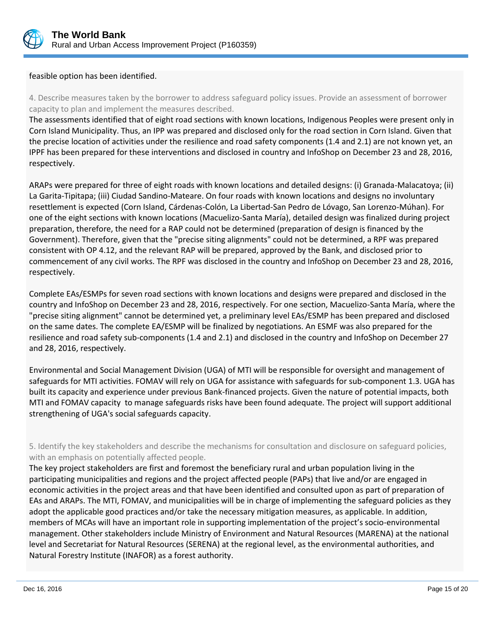

feasible option has been identified.

4. Describe measures taken by the borrower to address safeguard policy issues. Provide an assessment of borrower capacity to plan and implement the measures described.

The assessments identified that of eight road sections with known locations, Indigenous Peoples were present only in Corn Island Municipality. Thus, an IPP was prepared and disclosed only for the road section in Corn Island. Given that the precise location of activities under the resilience and road safety components (1.4 and 2.1) are not known yet, an IPPF has been prepared for these interventions and disclosed in country and InfoShop on December 23 and 28, 2016, respectively.

ARAPs were prepared for three of eight roads with known locations and detailed designs: (i) Granada-Malacatoya; (ii) La Garita-Tipitapa; (iii) Ciudad Sandino-Mateare. On four roads with known locations and designs no involuntary resettlement is expected (Corn Island, Cárdenas-Colón, La Libertad-San Pedro de Lóvago, San Lorenzo-Múhan). For one of the eight sections with known locations (Macuelizo-Santa María), detailed design was finalized during project preparation, therefore, the need for a RAP could not be determined (preparation of design is financed by the Government). Therefore, given that the "precise siting alignments" could not be determined, a RPF was prepared consistent with OP 4.12, and the relevant RAP will be prepared, approved by the Bank, and disclosed prior to commencement of any civil works. The RPF was disclosed in the country and InfoShop on December 23 and 28, 2016, respectively.

Complete EAs/ESMPs for seven road sections with known locations and designs were prepared and disclosed in the country and InfoShop on December 23 and 28, 2016, respectively. For one section, Macuelizo-Santa María, where the "precise siting alignment" cannot be determined yet, a preliminary level EAs/ESMP has been prepared and disclosed on the same dates. The complete EA/ESMP will be finalized by negotiations. An ESMF was also prepared for the resilience and road safety sub-components (1.4 and 2.1) and disclosed in the country and InfoShop on December 27 and 28, 2016, respectively.

Environmental and Social Management Division (UGA) of MTI will be responsible for oversight and management of safeguards for MTI activities. FOMAV will rely on UGA for assistance with safeguards for sub-component 1.3. UGA has built its capacity and experience under previous Bank-financed projects. Given the nature of potential impacts, both MTI and FOMAV capacity to manage safeguards risks have been found adequate. The project will support additional strengthening of UGA's social safeguards capacity.

5. Identify the key stakeholders and describe the mechanisms for consultation and disclosure on safeguard policies, with an emphasis on potentially affected people.

The key project stakeholders are first and foremost the beneficiary rural and urban population living in the participating municipalities and regions and the project affected people (PAPs) that live and/or are engaged in economic activities in the project areas and that have been identified and consulted upon as part of preparation of EAs and ARAPs. The MTI, FOMAV, and municipalities will be in charge of implementing the safeguard policies as they adopt the applicable good practices and/or take the necessary mitigation measures, as applicable. In addition, members of MCAs will have an important role in supporting implementation of the project's socio-environmental management. Other stakeholders include Ministry of Environment and Natural Resources (MARENA) at the national level and Secretariat for Natural Resources (SERENA) at the regional level, as the environmental authorities, and Natural Forestry Institute (INAFOR) as a forest authority.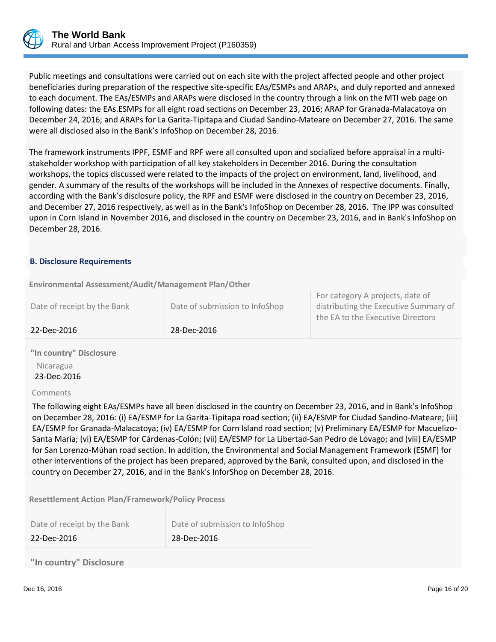

Public meetings and consultations were carried out on each site with the project affected people and other project beneficiaries during preparation of the respective site-specific EAs/ESMPs and ARAPs, and duly reported and annexed to each document. The EAs/ESMPs and ARAPs were disclosed in the country through a link on the MTI web page on following dates: the EAs.ESMPs for all eight road sections on December 23, 2016; ARAP for Granada-Malacatoya on December 24, 2016; and ARAPs for La Garita-Tipitapa and Ciudad Sandino-Mateare on December 27, 2016. The same were all disclosed also in the Bank's InfoShop on December 28, 2016.

The framework instruments IPPF, ESMF and RPF were all consulted upon and socialized before appraisal in a multistakeholder workshop with participation of all key stakeholders in December 2016. During the consultation workshops, the topics discussed were related to the impacts of the project on environment, land, livelihood, and gender. A summary of the results of the workshops will be included in the Annexes of respective documents. Finally, according with the Bank's disclosure policy, the RPF and ESMF were disclosed in the country on December 23, 2016, and December 27, 2016 respectively, as well as in the Bank's InfoShop on December 28, 2016. The IPP was consulted upon in Corn Island in November 2016, and disclosed in the country on December 23, 2016, and in Bank's InfoShop on December 28, 2016.

## **B. Disclosure Requirements**

**Environmental Assessment/Audit/Management Plan/Other** 

| 22-Dec-2016                 | 28-Dec-2016                    |                                                                                                                |
|-----------------------------|--------------------------------|----------------------------------------------------------------------------------------------------------------|
| Date of receipt by the Bank | Date of submission to InfoShop | For category A projects, date of<br>distributing the Executive Summary of<br>the EA to the Executive Directors |

**"In country" Disclosure** Nicaragua 23-Dec-2016

Comments

The following eight EAs/ESMPs have all been disclosed in the country on December 23, 2016, and in Bank's InfoShop on December 28, 2016: (i) EA/ESMP for La Garita-Tipitapa road section; (ii) EA/ESMP for Ciudad Sandino-Mateare; (iii) EA/ESMP for Granada-Malacatoya; (iv) EA/ESMP for Corn Island road section; (v) Preliminary EA/ESMP for Macuelizo-Santa María; (vi) EA/ESMP for Cárdenas-Colón; (vii) EA/ESMP for La Libertad-San Pedro de Lóvago; and (viii) EA/ESMP for San Lorenzo-Múhan road section. In addition, the Environmental and Social Management Framework (ESMF) for other interventions of the project has been prepared, approved by the Bank, consulted upon, and disclosed in the country on December 27, 2016, and in the Bank's InforShop on December 28, 2016.

**Resettlement Action Plan/Framework/Policy Process**

| Date of receipt by the Bank | Date of submission to InfoShop |
|-----------------------------|--------------------------------|
| 22-Dec-2016                 | 28-Dec-2016                    |

**"In country" Disclosure**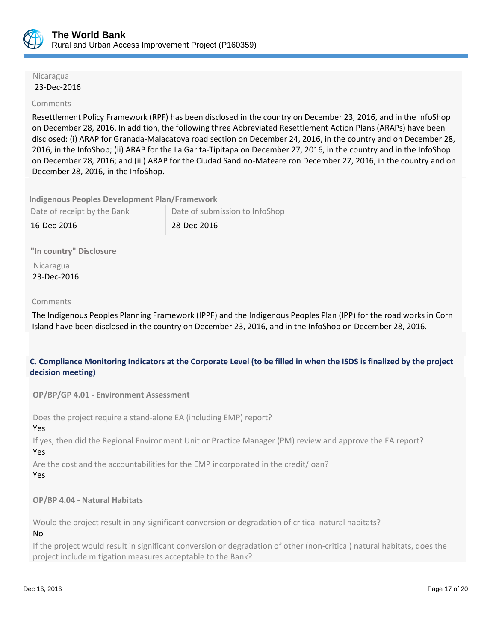

#### Nicaragua 23-Dec-2016

## Comments

Resettlement Policy Framework (RPF) has been disclosed in the country on December 23, 2016, and in the InfoShop on December 28, 2016. In addition, the following three Abbreviated Resettlement Action Plans (ARAPs) have been disclosed: (i) ARAP for Granada-Malacatoya road section on December 24, 2016, in the country and on December 28, 2016, in the InfoShop; (ii) ARAP for the La Garita-Tipitapa on December 27, 2016, in the country and in the InfoShop on December 28, 2016; and (iii) ARAP for the Ciudad Sandino-Mateare ron December 27, 2016, in the country and on December 28, 2016, in the InfoShop.

**Indigenous Peoples Development Plan/Framework**

| Date of receipt by the Bank | Date of submission to InfoShop |
|-----------------------------|--------------------------------|
| 16-Dec-2016                 | 28-Dec-2016                    |

**"In country" Disclosure**

 Nicaragua 23-Dec-2016

## Comments

The Indigenous Peoples Planning Framework (IPPF) and the Indigenous Peoples Plan (IPP) for the road works in Corn Island have been disclosed in the country on December 23, 2016, and in the InfoShop on December 28, 2016.

# **C. Compliance Monitoring Indicators at the Corporate Level (to be filled in when the ISDS is finalized by the project decision meeting)**

**OP/BP/GP 4.01 - Environment Assessment** 

Does the project require a stand-alone EA (including EMP) report?

Yes

If yes, then did the Regional Environment Unit or Practice Manager (PM) review and approve the EA report? Yes

Are the cost and the accountabilities for the EMP incorporated in the credit/loan?

Yes

## **OP/BP 4.04 - Natural Habitats**

Would the project result in any significant conversion or degradation of critical natural habitats?

No

If the project would result in significant conversion or degradation of other (non-critical) natural habitats, does the project include mitigation measures acceptable to the Bank?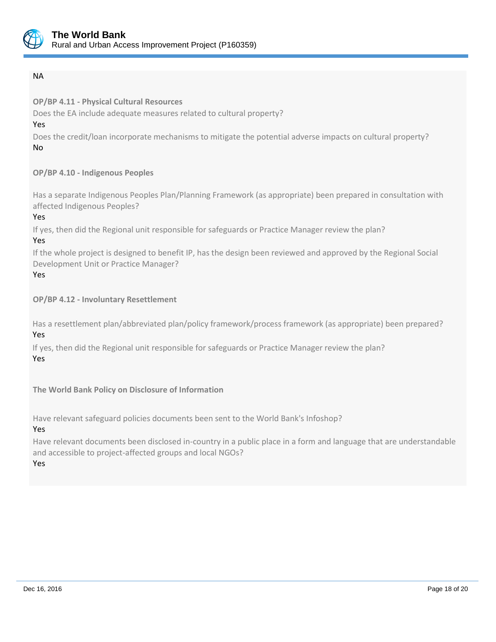

# NA

**OP/BP 4.11 - Physical Cultural Resources**

Does the EA include adequate measures related to cultural property?

Yes

Does the credit/loan incorporate mechanisms to mitigate the potential adverse impacts on cultural property? No

# **OP/BP 4.10 - Indigenous Peoples**

Has a separate Indigenous Peoples Plan/Planning Framework (as appropriate) been prepared in consultation with affected Indigenous Peoples?

Yes

If yes, then did the Regional unit responsible for safeguards or Practice Manager review the plan?

# Yes

If the whole project is designed to benefit IP, has the design been reviewed and approved by the Regional Social Development Unit or Practice Manager?

# Yes

**OP/BP 4.12 - Involuntary Resettlement**

Has a resettlement plan/abbreviated plan/policy framework/process framework (as appropriate) been prepared? Yes

If yes, then did the Regional unit responsible for safeguards or Practice Manager review the plan? Yes

**The World Bank Policy on Disclosure of Information**

Have relevant safeguard policies documents been sent to the World Bank's Infoshop?

Yes

Have relevant documents been disclosed in-country in a public place in a form and language that are understandable and accessible to project-affected groups and local NGOs?

Yes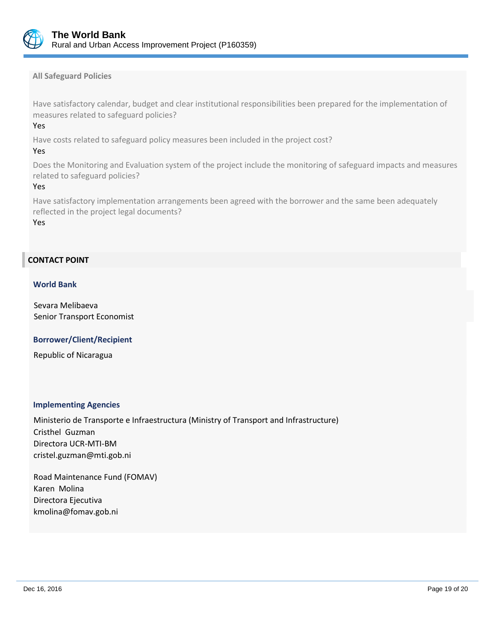

**All Safeguard Policies**

Have satisfactory calendar, budget and clear institutional responsibilities been prepared for the implementation of measures related to safeguard policies?

Yes

Have costs related to safeguard policy measures been included in the project cost?

## Yes

Does the Monitoring and Evaluation system of the project include the monitoring of safeguard impacts and measures related to safeguard policies?

## Yes

Have satisfactory implementation arrangements been agreed with the borrower and the same been adequately reflected in the project legal documents?

Yes

# **CONTACT POINT**

## **World Bank**

Sevara Melibaeva Senior Transport Economist

 **Borrower/Client/Recipient**

Republic of Nicaragua

## **Implementing Agencies**

Ministerio de Transporte e Infraestructura (Ministry of Transport and Infrastructure) Cristhel Guzman Directora UCR-MTI-BM cristel.guzman@mti.gob.ni

Road Maintenance Fund (FOMAV) Karen Molina Directora Ejecutiva kmolina@fomav.gob.ni